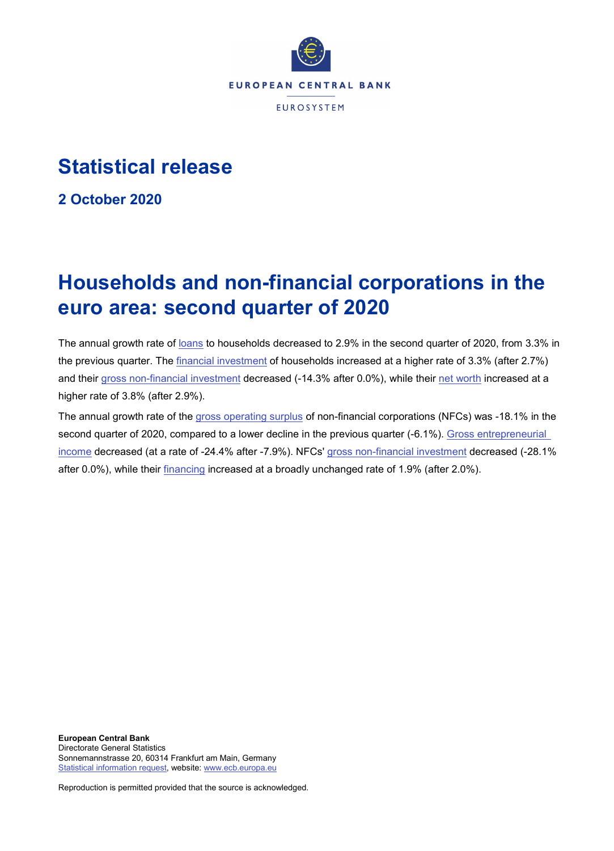

## **Statistical release**

**2 October 2020**

# **Households and non-financial corporations in the euro area: second quarter of 2020**

The annual growth rate of [loans](http://sdw.ecb.europa.eu/quickview.do?SERIES_KEY=332.QSA.Q.N.I8.W0.S1M.S1.N.L.F.F4.T._Z.XDC._T.S.V.N._T) to households decreased to 2.9% in the second quarter of 2020, from 3.3% in the previous quarter. The [financial investment](http://sdw.ecb.europa.eu/browseTable.do?dc=&type=series&cv=&ec=&rc=&node=SEARCHRESULTS&oc=&df=&q=QSA.Q.N.I8.W0.S1M.S1.N.A.F.F._Z._Z.XDC._T.S.V.N._T%20QSA.Q.N.I8.W0.S1M.S1.N.A.LE.F._Z._Z.XDC._T.S.V.N._T&pb=&SERIES_KEY=332.QSA.Q.N.I8.W0.S1M.S1.N.A.F.F._Z._Z.XDC._T.S.V.N._T&SERIES_KEY=332.QSA.Q.N.I8.W0.S1M.S1.N.A.LE.F._Z._Z.XDC._T.S.V.N._T) of households increased at a higher rate of 3.3% (after 2.7%) and their [gross non-financial investment](http://sdw.ecb.europa.eu/quickview.do?SERIES_KEY=332.QSA.Q.N.I8.W0.S1M.S1.N.D.P5L._Z._Z._Z.XDC._T.S.V.G4._T) decreased (-14.3% after 0.0%), while their [net worth](http://sdw.ecb.europa.eu/quickview.do?SERIES_KEY=332.QSA.Q.N.I8.W0.S1M.S1._Z.B.B90._Z._Z._Z.XDC._T.S.V.G4._T) increased at a higher rate of 3.8% (after 2.9%).

The annual growth rate of the [gross operating surplus](http://sdw.ecb.europa.eu/quickview.do?SERIES_KEY=332.QSA.Q.N.I8.W0.S11.S1._Z.B.B2A3G._Z._Z._Z.XDC._T.S.V.N._T) of non-financial corporations (NFCs) was -18.1% in the second quarter of 2020, compared to a lower decline in the previous quarter (-6.1%). [Gross entrepreneurial](http://sdw.ecb.europa.eu/quickview.do?SERIES_KEY=332.QSA.Q.N.I8.W0.S11.S1._Z.B.B4G._Z._Z._Z.XDC._T.S.V.N._T)  [income](http://sdw.ecb.europa.eu/quickview.do?SERIES_KEY=332.QSA.Q.N.I8.W0.S11.S1._Z.B.B4G._Z._Z._Z.XDC._T.S.V.N._T) decreased (at a rate of -24.4% after -7.9%). NFCs' [gross non-financial investment](http://sdw.ecb.europa.eu/quickview.do?SERIES_KEY=332.QSA.Q.N.I8.W0.S11.S1.N.D.P5L._Z._Z._Z.XDC._T.S.V.G4._T) decreased (-28.1% after 0.0%), while their [financing](http://sdw.ecb.europa.eu/quickview.do?SERIES_KEY=332.QSA.Q.N.I8.W0.S11.S1.N.L.F.F._Z._Z.XDC._T.S.V.N._T) increased at a broadly unchanged rate of 1.9% (after 2.0%).

**European Central Bank** Directorate General Statistics Sonnemannstrasse 20, 60314 Frankfurt am Main, Germany [Statistical information request,](https://ecb-registration.escb.eu/statistical-information) website[: www.ecb.europa.eu](http://www.ecb.europa.eu/)

Reproduction is permitted provided that the source is acknowledged.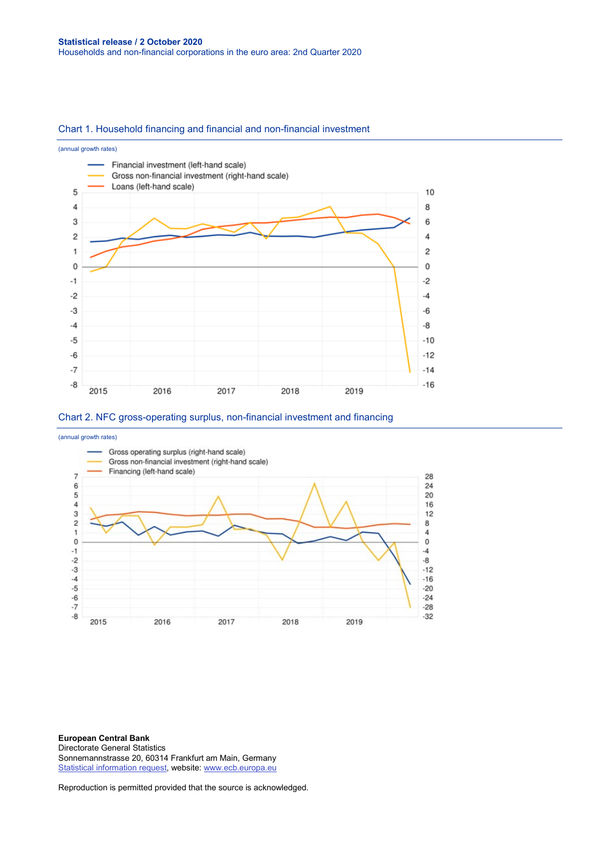#### Chart 1. Household financing and financial and non-financial investment







**European Central Bank** Directorate General Statistics Sonnemannstrasse 20, 60314 Frankfurt am Main, Germany [Statistical information request,](https://ecb-registration.escb.eu/statistical-information) website[: www.ecb.europa.eu](http://www.ecb.europa.eu/)

Reproduction is permitted provided that the source is acknowledged.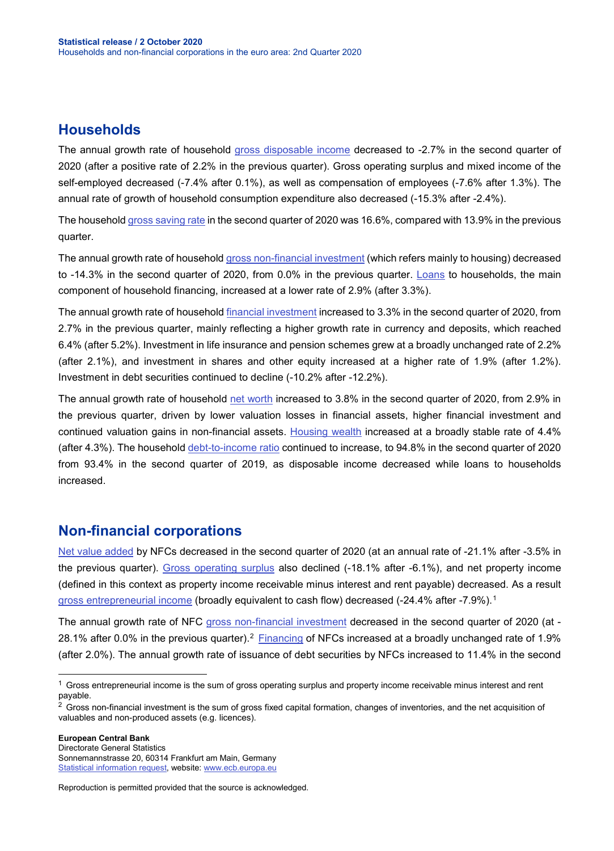## **Households**

The annual growth rate of household [gross disposable income](http://sdw.ecb.europa.eu/quickview.do?SERIES_KEY=332.QSA.Q.N.I8.W0.S1M.S1._Z.B.B6G._Z._Z._Z.XDC._T.S.V.N._T) decreased to -2.7% in the second quarter of 2020 (after a positive rate of 2.2% in the previous quarter). Gross operating surplus and mixed income of the self-employed decreased (-7.4% after 0.1%), as well as compensation of employees (-7.6% after 1.3%). The annual rate of growth of household consumption expenditure also decreased (-15.3% after -2.4%).

The househol[d gross saving rate](http://sdw.ecb.europa.eu/quickview.do?SERIES_KEY=332.QSA.Q.N.I8.W0.S1M.S1._Z.B.B8G._Z._Z._Z.XDC_R_B6GA_CY._T.S.V.C4._T) in the second quarter of 2020 was 16.6%, compared with 13.9% in the previous quarter.

The annual growth rate of househol[d gross non-financial investment](http://sdw.ecb.europa.eu/quickview.do?SERIES_KEY=332.QSA.Q.N.I8.W0.S1M.S1.N.D.P5L._Z._Z._Z.XDC._T.S.V.G4._T) (which refers mainly to housing) decreased to -14.3% in the second quarter of 2020, from 0.0% in the previous quarter. [Loans](http://sdw.ecb.europa.eu/quickview.do?SERIES_KEY=332.QSA.Q.N.I8.W0.S1M.S1.N.L.F.F4.T._Z.XDC._T.S.V.N._T) to households, the main component of household financing, increased at a lower rate of 2.9% (after 3.3%).

The annual growth rate of household [financial investment](http://sdw.ecb.europa.eu/browseTable.do?dc=&type=series&cv=&ec=&rc=&node=SEARCHRESULTS&oc=&df=&q=QSA.Q.N.I8.W0.S1M.S1.N.A.F.F._Z._Z.XDC._T.S.V.N._T%20QSA.Q.N.I8.W0.S1M.S1.N.A.LE.F._Z._Z.XDC._T.S.V.N._T&pb=&SERIES_KEY=332.QSA.Q.N.I8.W0.S1M.S1.N.A.F.F._Z._Z.XDC._T.S.V.N._T&SERIES_KEY=332.QSA.Q.N.I8.W0.S1M.S1.N.A.LE.F._Z._Z.XDC._T.S.V.N._T) increased to 3.3% in the second quarter of 2020, from 2.7% in the previous quarter, mainly reflecting a higher growth rate in currency and deposits, which reached 6.4% (after 5.2%). Investment in life insurance and pension schemes grew at a broadly unchanged rate of 2.2% (after 2.1%), and investment in shares and other equity increased at a higher rate of 1.9% (after 1.2%). Investment in debt securities continued to decline (-10.2% after -12.2%).

The annual growth rate of household [net worth](http://sdw.ecb.europa.eu/quickview.do?SERIES_KEY=332.QSA.Q.N.I8.W0.S1M.S1._Z.B.B90._Z._Z._Z.XDC._T.S.V.G4._T) increased to 3.8% in the second quarter of 2020, from 2.9% in the previous quarter, driven by lower valuation losses in financial assets, higher financial investment and continued valuation gains in non-financial assets. [Housing wealth](http://sdw.ecb.europa.eu/quickview.do?SERIES_KEY=332.QSA.Q.N.I8.W0.S1M.S1._Z.D.LE.NUN._Z._Z.EUR._Z.S.V.N._T) increased at a broadly stable rate of 4.4% (after 4.3%). The household [debt-to-income ratio](http://sdw.ecb.europa.eu/quickview.do?SERIES_KEY=332.QSA.Q.N.I8.W0.S1M.S1.N.L.LE.F4.T._Z.XDC_R_B6GA_CY._T.S.V.N._T) continued to increase, to 94.8% in the second quarter of 2020 from 93.4% in the second quarter of 2019, as disposable income decreased while loans to households increased.

### **Non-financial corporations**

[Net value added](http://sdw.ecb.europa.eu/quickview.do?SERIES_KEY=332.QSA.Q.N.I8.W0.S11.S1._Z.B.B1N._Z._Z._Z.XDC._T.S.V.N._T) by NFCs decreased in the second quarter of 2020 (at an annual rate of -21.1% after -3.5% in the previous quarter). [Gross operating surplus](http://sdw.ecb.europa.eu/quickview.do?SERIES_KEY=332.QSA.Q.N.I8.W0.S11.S1._Z.B.B2A3G._Z._Z._Z.XDC._T.S.V.N._T) also declined (-18.1% after -6.1%), and net property income (defined in this context as property income receivable minus interest and rent payable) decreased. As a result [gross entrepreneurial income](http://sdw.ecb.europa.eu/quickview.do?SERIES_KEY=332.QSA.Q.N.I8.W0.S11.S1._Z.B.B4G._Z._Z._Z.XDC._T.S.V.N._T) (broadly equivalent to cash flow) decreased (-24.4% after -7.9%).<sup>[1](#page-2-0)</sup>

The annual growth rate of NFC [gross non-financial investment](http://sdw.ecb.europa.eu/quickview.do?SERIES_KEY=332.QSA.Q.N.I8.W0.S11.S1.N.D.P5L._Z._Z._Z.XDC._T.S.V.G4._T) decreased in the second quarter of 2020 (at -[2](#page-2-1)8.1% after 0.0% in the previous quarter).<sup>2</sup> [Financing](http://sdw.ecb.europa.eu/quickview.do?SERIES_KEY=332.QSA.Q.N.I8.W0.S11.S1.N.L.F.F._Z._Z.XDC._T.S.V.N._T) of NFCs increased at a broadly unchanged rate of 1.9% (after 2.0%). The annual growth rate of issuance of debt securities by NFCs increased to 11.4% in the second

Reproduction is permitted provided that the source is acknowledged.

<span id="page-2-0"></span> $1$  Gross entrepreneurial income is the sum of gross operating surplus and property income receivable minus interest and rent payable.

<span id="page-2-1"></span> $2$  Gross non-financial investment is the sum of gross fixed capital formation, changes of inventories, and the net acquisition of valuables and non-produced assets (e.g. licences).